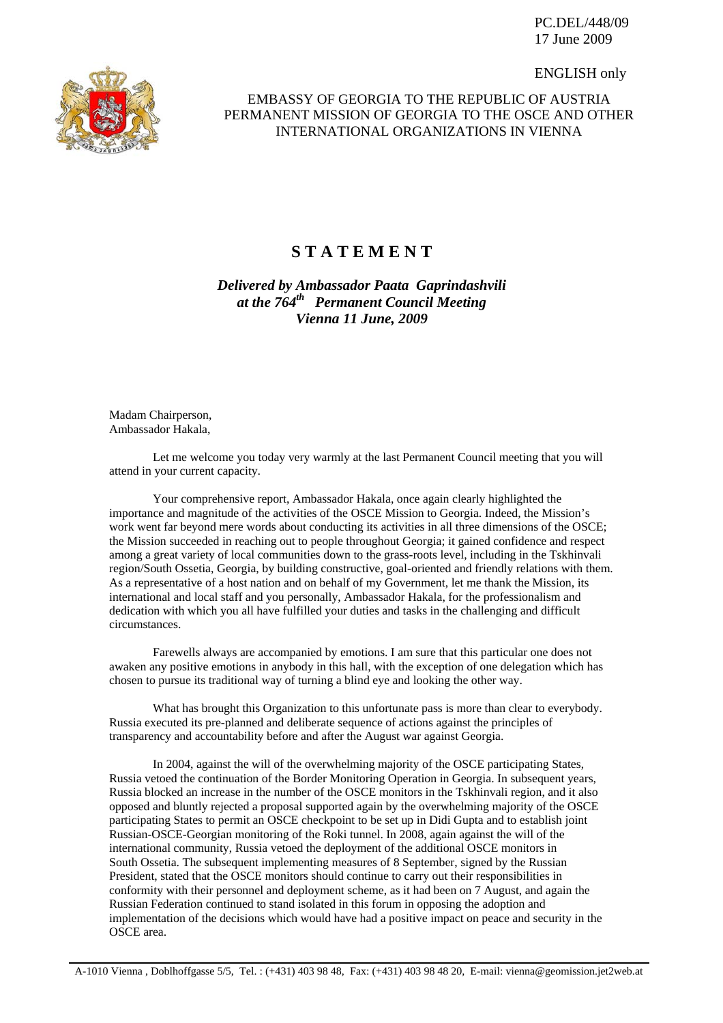PC.DEL/448/09 17 June 2009

ENGLISH only



## EMBASSY OF GEORGIA TO THE REPUBLIC OF AUSTRIA PERMANENT MISSION OF GEORGIA TO THE OSCE AND OTHER INTERNATIONAL ORGANIZATIONS IN VIENNA

## **S T A T E M E N T**

*Delivered by Ambassador Paata Gaprindashvili at the 764th Permanent Council Meeting Vienna 11 June, 2009* 

Madam Chairperson, Ambassador Hakala,

 Let me welcome you today very warmly at the last Permanent Council meeting that you will attend in your current capacity.

 Your comprehensive report, Ambassador Hakala, once again clearly highlighted the importance and magnitude of the activities of the OSCE Mission to Georgia. Indeed, the Mission's work went far beyond mere words about conducting its activities in all three dimensions of the OSCE; the Mission succeeded in reaching out to people throughout Georgia; it gained confidence and respect among a great variety of local communities down to the grass-roots level, including in the Tskhinvali region/South Ossetia, Georgia, by building constructive, goal-oriented and friendly relations with them. As a representative of a host nation and on behalf of my Government, let me thank the Mission, its international and local staff and you personally, Ambassador Hakala, for the professionalism and dedication with which you all have fulfilled your duties and tasks in the challenging and difficult circumstances.

 Farewells always are accompanied by emotions. I am sure that this particular one does not awaken any positive emotions in anybody in this hall, with the exception of one delegation which has chosen to pursue its traditional way of turning a blind eye and looking the other way.

 What has brought this Organization to this unfortunate pass is more than clear to everybody. Russia executed its pre-planned and deliberate sequence of actions against the principles of transparency and accountability before and after the August war against Georgia.

 In 2004, against the will of the overwhelming majority of the OSCE participating States, Russia vetoed the continuation of the Border Monitoring Operation in Georgia. In subsequent years, Russia blocked an increase in the number of the OSCE monitors in the Tskhinvali region, and it also opposed and bluntly rejected a proposal supported again by the overwhelming majority of the OSCE participating States to permit an OSCE checkpoint to be set up in Didi Gupta and to establish joint Russian-OSCE-Georgian monitoring of the Roki tunnel. In 2008, again against the will of the international community, Russia vetoed the deployment of the additional OSCE monitors in South Ossetia. The subsequent implementing measures of 8 September, signed by the Russian President, stated that the OSCE monitors should continue to carry out their responsibilities in conformity with their personnel and deployment scheme, as it had been on 7 August, and again the Russian Federation continued to stand isolated in this forum in opposing the adoption and implementation of the decisions which would have had a positive impact on peace and security in the OSCE area.